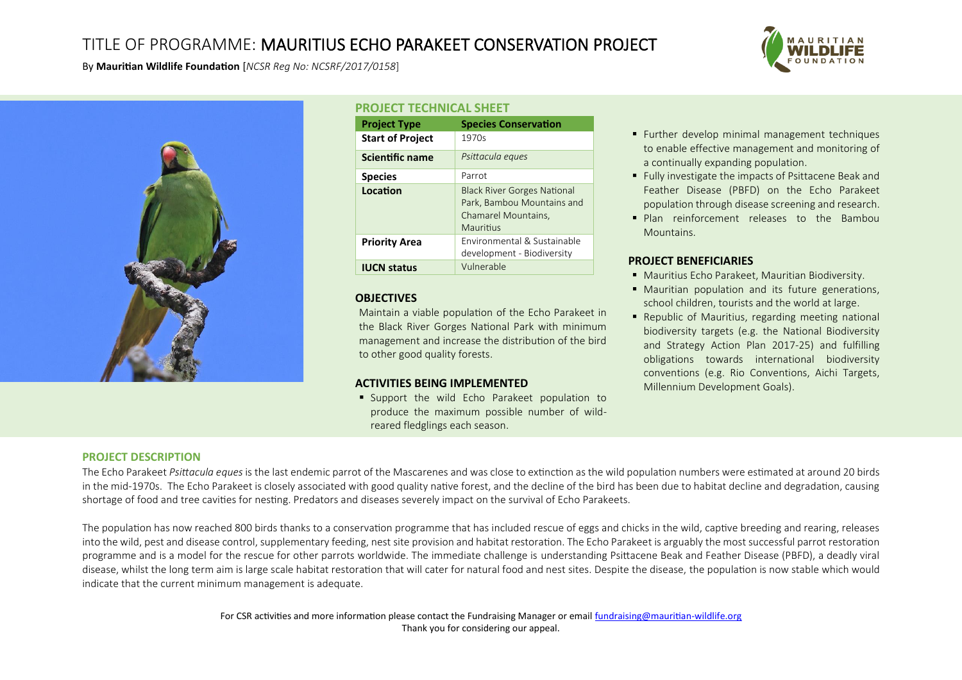## TITLE OF PROGRAMME: MAURITIUS ECHO PARAKEET CONSERVATION PROJECT



By **Mauritian Wildlife Foundation** [*NCSR Reg No: NCSRF/2017/0158*]



### **PROJECT TECHNICAL SHEET**

| <b>Project Type</b>     | <b>Species Conservation</b>                                                                          |
|-------------------------|------------------------------------------------------------------------------------------------------|
| <b>Start of Project</b> | 1970s                                                                                                |
| Scientific name         | Psittacula eques                                                                                     |
| <b>Species</b>          | Parrot                                                                                               |
| Location                | <b>Black River Gorges National</b><br>Park, Bambou Mountains and<br>Chamarel Mountains,<br>Mauritius |
| <b>Priority Area</b>    | Environmental & Sustainable<br>development - Biodiversity                                            |
| <b>IUCN status</b>      | Vulnerable                                                                                           |

### **OBJECTIVES**

Maintain a viable population of the Echo Parakeet in the Black River Gorges National Park with minimum management and increase the distribution of the bird to other good quality forests.

### **ACTIVITIES BEING IMPLEMENTED**

■ Support the wild Echo Parakeet population to produce the maximum possible number of wildreared fledglings each season.

- Further develop minimal management techniques to enable effective management and monitoring of a continually expanding population.
- Fully investigate the impacts of Psittacene Beak and Feather Disease (PBFD) on the Echo Parakeet population through disease screening and research.
- **·** Plan reinforcement releases to the Bambou Mountains.

### **PROJECT BENEFICIARIES**

- Mauritius Echo Parakeet, Mauritian Biodiversity.
- Mauritian population and its future generations, school children, tourists and the world at large.
- Republic of Mauritius, regarding meeting national biodiversity targets (e.g. the National Biodiversity and Strategy Action Plan 2017-25) and fulfilling obligations towards international biodiversity conventions (e.g. Rio Conventions, Aichi Targets, Millennium Development Goals).

### **PROJECT DESCRIPTION**

The Echo Parakeet *Psittacula eques* is the last endemic parrot of the Mascarenes and was close to extinction as the wild population numbers were estimated at around 20 birds in the mid-1970s. The Echo Parakeet is closely associated with good quality native forest, and the decline of the bird has been due to habitat decline and degradation, causing shortage of food and tree cavities for nesting. Predators and diseases severely impact on the survival of Echo Parakeets.

The population has now reached 800 birds thanks to a conservation programme that has included rescue of eggs and chicks in the wild, captive breeding and rearing, releases into the wild, pest and disease control, supplementary feeding, nest site provision and habitat restoration. The Echo Parakeet is arguably the most successful parrot restoration programme and is a model for the rescue for other parrots worldwide. The immediate challenge is understanding Psittacene Beak and Feather Disease (PBFD), a deadly viral disease, whilst the long term aim is large scale habitat restoration that will cater for natural food and nest sites. Despite the disease, the population is now stable which would indicate that the current minimum management is adequate.

> For CSR activities and more information please contact the Fundraising Manager or emai[l fundraising@mauritian-wildlife.org](mailto:fundraising@mauritian-wildlife.org) Thank you for considering our appeal.